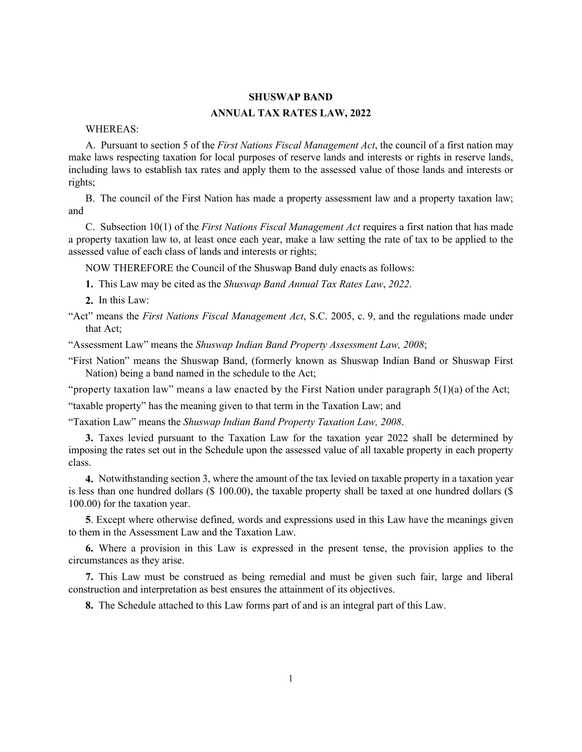## **SHUSWAP BAND**

## **ANNUAL TAX RATES LAW, 2022**

## WHEREAS:

A. Pursuant to section 5 of the *First Nations Fiscal Management Act*, the council of a first nation may make laws respecting taxation for local purposes of reserve lands and interests or rights in reserve lands, including laws to establish tax rates and apply them to the assessed value of those lands and interests or rights;

B. The council of the First Nation has made a property assessment law and a property taxation law; and

C. Subsection 10(1) of the *First Nations Fiscal Management Act* requires a first nation that has made a property taxation law to, at least once each year, make a law setting the rate of tax to be applied to the assessed value of each class of lands and interests or rights;

NOW THEREFORE the Council of the Shuswap Band duly enacts as follows:

**1.** This Law may be cited as the *Shuswap Band Annual Tax Rates Law*, *2022*.

**2.** In this Law:

"Act" means the *First Nations Fiscal Management Act*, S.C. 2005, c. 9, and the regulations made under that Act;

"Assessment Law" means the *Shuswap Indian Band Property Assessment Law, 2008*;

"First Nation" means the Shuswap Band, (formerly known as Shuswap Indian Band or Shuswap First Nation) being a band named in the schedule to the Act;

"property taxation law" means a law enacted by the First Nation under paragraph 5(1)(a) of the Act;

"taxable property" has the meaning given to that term in the Taxation Law; and

"Taxation Law" means the *Shuswap Indian Band Property Taxation Law, 2008*.

**3.** Taxes levied pursuant to the Taxation Law for the taxation year 2022 shall be determined by imposing the rates set out in the Schedule upon the assessed value of all taxable property in each property class.

**4.** Notwithstanding section 3, where the amount of the tax levied on taxable property in a taxation year is less than one hundred dollars (\$ 100.00), the taxable property shall be taxed at one hundred dollars (\$ 100.00) for the taxation year.

**5**. Except where otherwise defined, words and expressions used in this Law have the meanings given to them in the Assessment Law and the Taxation Law.

**6.** Where a provision in this Law is expressed in the present tense, the provision applies to the circumstances as they arise.

**7.** This Law must be construed as being remedial and must be given such fair, large and liberal construction and interpretation as best ensures the attainment of its objectives.

**8.** The Schedule attached to this Law forms part of and is an integral part of this Law.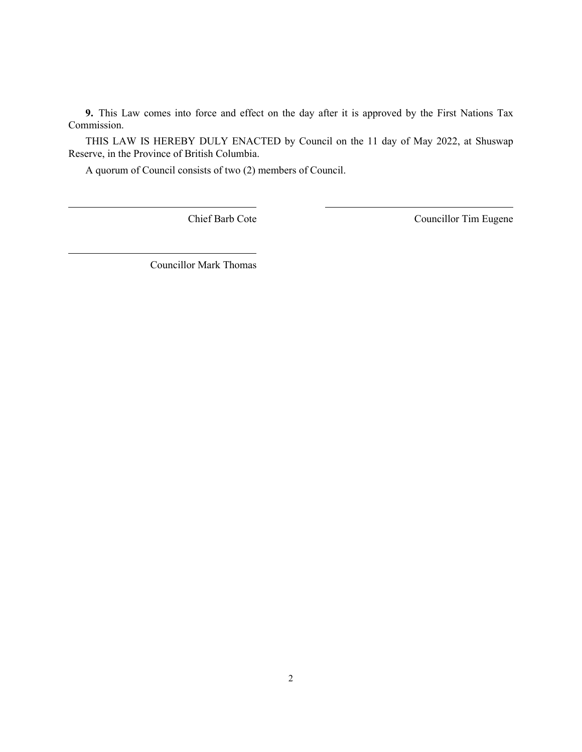**9.** This Law comes into force and effect on the day after it is approved by the First Nations Tax Commission.

THIS LAW IS HEREBY DULY ENACTED by Council on the 11 day of May 2022, at Shuswap Reserve, in the Province of British Columbia.

A quorum of Council consists of two (2) members of Council.

Chief Barb Cote Councillor Tim Eugene

Councillor Mark Thomas